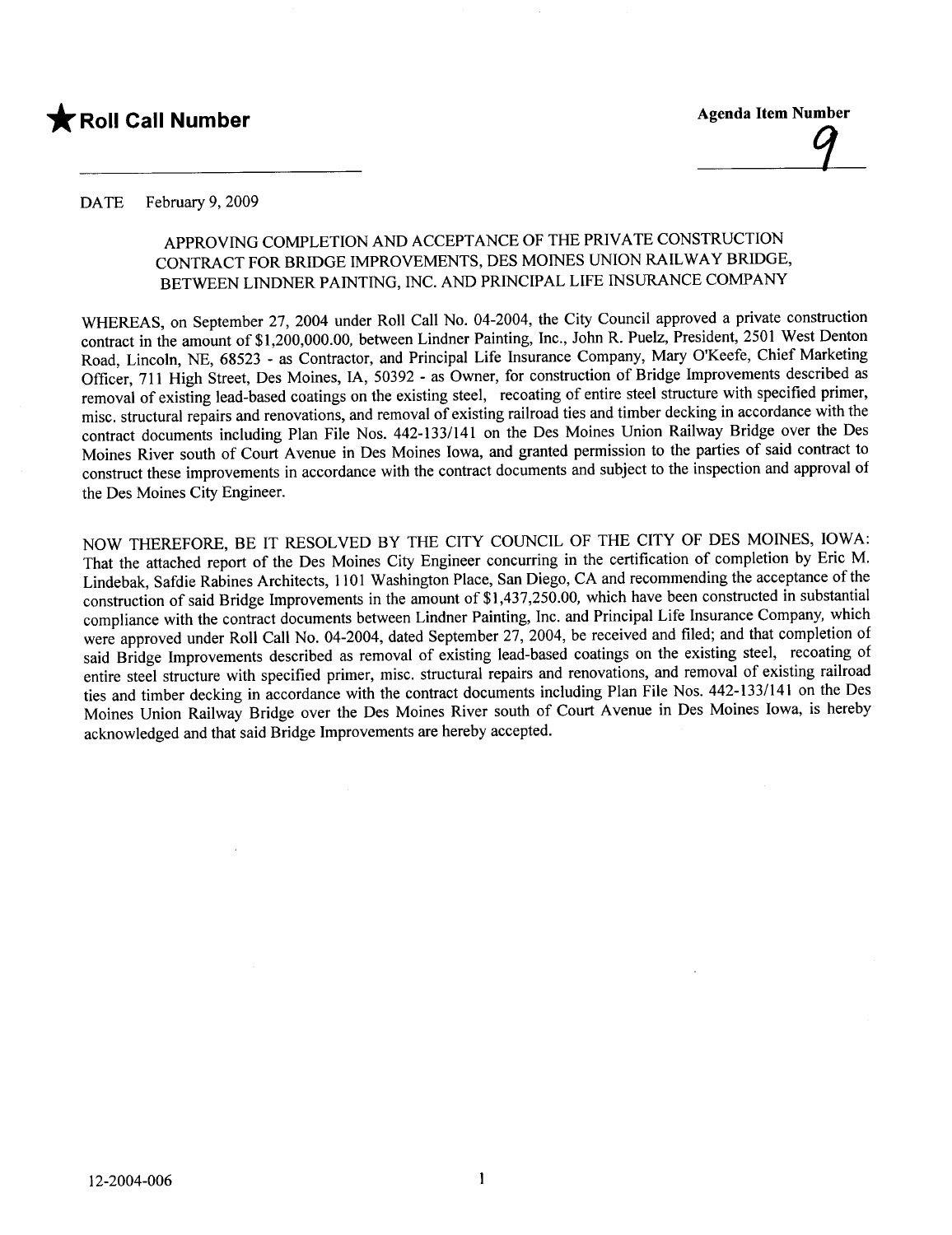# \* Roll Call Number Agenda Item Number

#### DATE February 9, 2009

## APPROVING COMPLETION AND ACCEPTANCE OF THE PRIVATE CONSTRUCTION CONTRACT FOR BRIDGE IMPROVEMENTS, DES MOINES UNION RAILWAY BRIDGE, BETWEEN LINDNER PAINTING, INC. AND PRINCIPAL LIFE INSURANCE COMPANY

WHEREAS, on September 27, 2004 under Roll Call No. 04-2004, the City Council approved a private construction contract in the amount of \$1,200,000.00, between Lindner Painting, Inc., John R. Puelz, President, 2501 West Denton Road, Lincoln, NE, 68523 - as Contractor, and Principal Life Insurance Company, Mary O'Keefe, Chief Marketing Officer, 711 High Street, Des Moines, lA, 50392 - as Owner, for construction of Bridge Improvements described as removal of existing lead-based coatings on the existing steel, recoating of entire steel structure with specified primer, misc. structural repairs and renovations, and removal of existing railroad ties and timber decking in accordance with the contract documents including Plan File Nos. 442-133/141 on the Des Moines Union Railway Bridge over the Des Moines River south of Court A venue in Des Moines Iowa, and granted permission to the parties of said contract to construct these improvements in accordance with the contract documents and subject to the inspection and approval of the Des Moines City Engineer.

NOW THEREFORE, BE IT RESOLVED BY THE CITY COUNCIL OF THE CITY OF DES MOINES, IOWA: That the attached report of the Des Moines City Engineer concurring in the certification of completion by Eric M. construction of said Bridge Improvements in the amount of \$1,437,250.00, which have been constructed in substantial Lindebak, Safdie Rabines Architects, 1101 Washington Place, San Diego, CA and recommending the acceptance of the compliance with the contract documents between Lindner Painting, Inc. and Principal Life Insurance Company, which were approved under Roll Call No. 04-2004, dated September 27, 2004, be received and filed; and that completion of said Bridge Improvements described as removal of existing lead-based coatings on the existing steel, recoating of entire steel structure with specified primer, misc. structural repairs and renovations, and removal of existing railroad ties and timber decking in accordance with the contract documents including Plan File Nos. 442-133/141 on the Des Moines Union Railway Bridge over the Des Moines River south of Court Avenue in Des Moines Iowa, is hereby acknowledged and that said Bridge Improvements are hereby accepted.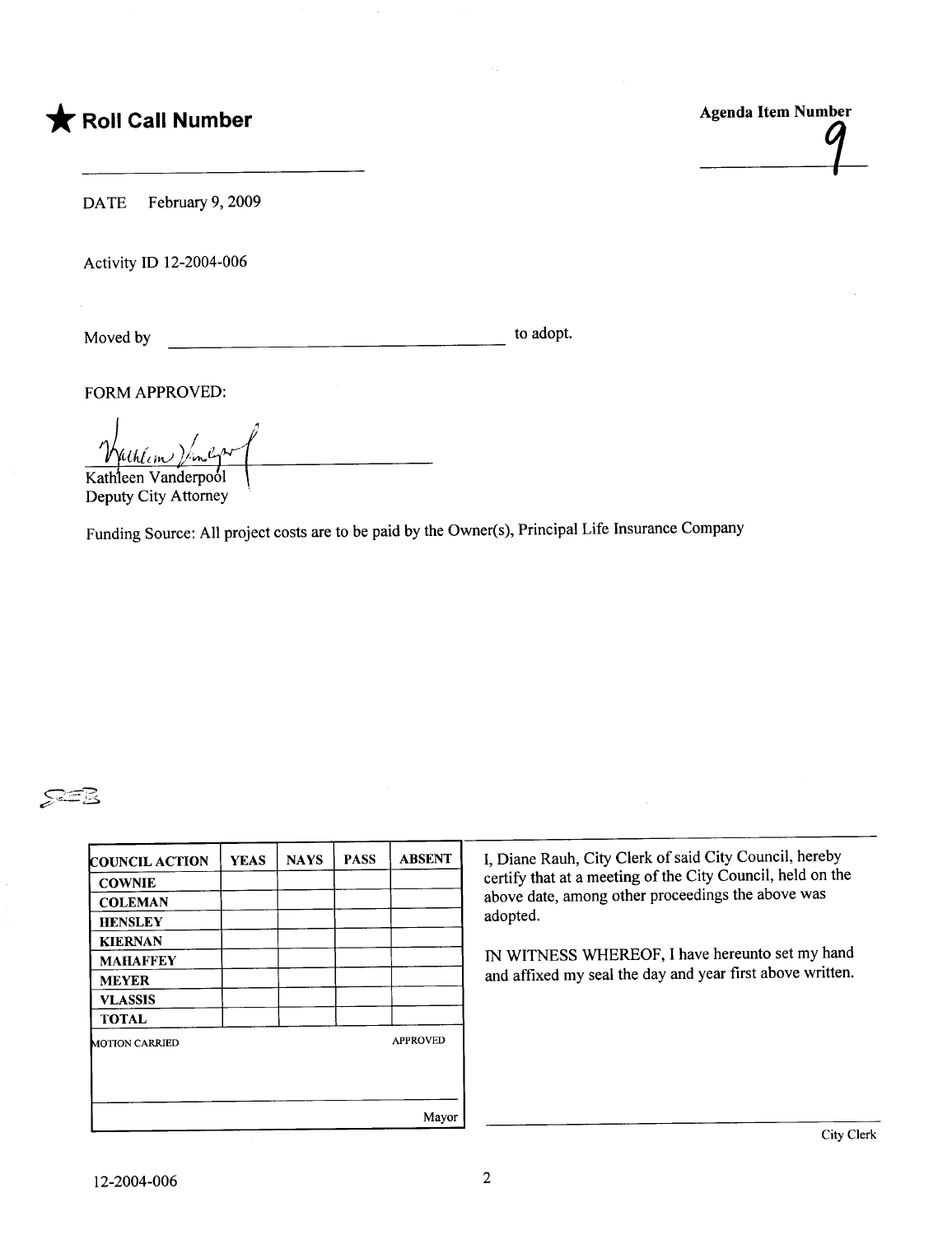# $\bigstar$  Roll Call Number

Agenda Item Number

DATE February 9, 2009

Activity ID 12-2004-006

to adopt. <u> 1980 - Jan Stein Berlin, amerikan b</u> Moved by

FORM APPROVED:

Kathleen Vanderpool

Deputy City Attorney

Funding Source: All project costs are to be paid by the Owner(s), Principal Life Insurance Company



| <b>COUNCIL ACTION</b> | <b>YEAS</b> | <b>NAYS</b> | <b>PASS</b> | <b>ABSENT</b>   |
|-----------------------|-------------|-------------|-------------|-----------------|
| <b>COWNIE</b>         |             |             |             |                 |
| <b>COLEMAN</b>        |             |             |             |                 |
| <b>HENSLEY</b>        |             |             |             |                 |
| <b>KIERNAN</b>        |             |             |             |                 |
| <b>MAHAFFEY</b>       |             |             |             |                 |
| <b>MEYER</b>          |             |             |             |                 |
| <b>VLASSIS</b>        |             |             |             |                 |
| <b>TOTAL</b>          |             |             |             |                 |
| <b>MOTION CARRIED</b> |             |             |             | <b>APPROVED</b> |
|                       |             |             |             | Mayor           |

I, Diane Rauh, City Clerk of said City Council, hereby certify that at a meeting of the City Council, held on the above date, among other proceedings the above was adopted.

IN WITNESS WHEREOF, I have hereunto set my hand and affixed my seal the day and year first above written.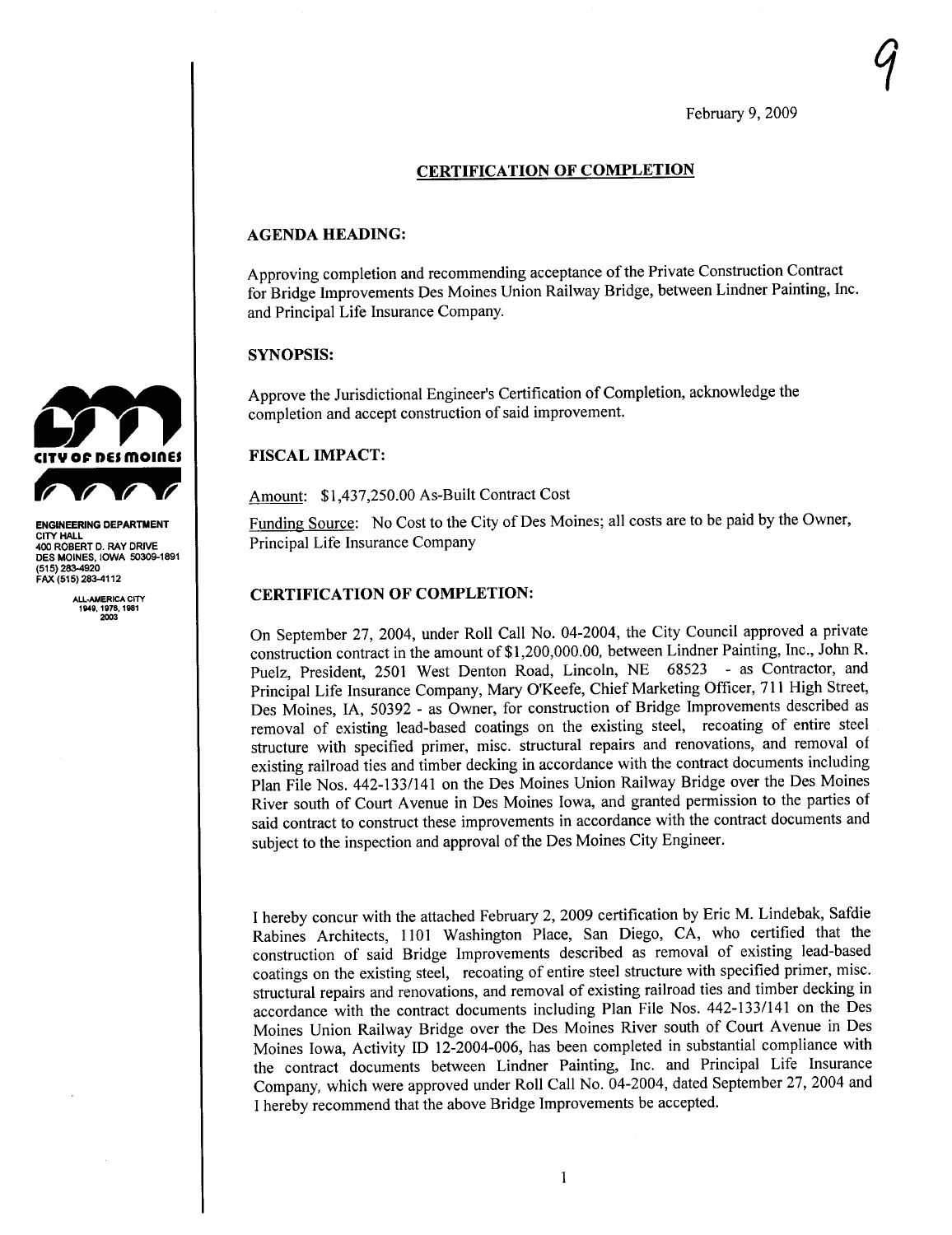$\gamma$ 

#### CERTIFICATION OF COMPLETION

#### AGENDA HEADING:

Approving completion and recommending acceptance of the Private Construction Contract for Bridge Improvements Des Moines Union Railway Bridge, between Lindner Painting, Inc. and Principal Life Insurance Company.

#### SYNOPSIS:

Approve the Jurisdictional Engineer's Certification of Completion, acknowledge the completion and accept construction of said improvement.

#### FISCAL IMPACT:

Amount: \$1,437,250.00 As-Built Contract Cost

Funding Source: No Cost to the City of Des Moines; all costs are to be paid by the Owner, Principal Life Insurance Company

#### CERTIFICATION OF COMPLETION:

On September 27, 2004, under Roll Call No. 04-2004, the City Council approved a private construction contract in the amount of \$1 ,200,000.00, between Lindner Painting, Inc., John R. Puelz, President, 2501 West Denton Road, Lincoln, NE 68523 - as Contractor, and Principal Life Insurance Company, Mary O'Keefe, Chief Marketing Officer, 711 High Street, Des Moines, lA, 50392 - as Owner, for construction of Bridge Improvements described as removal of existing lead-based coatings on the existing steel, recoating of entire steel structure with specified primer, misc. structural repairs and renovations, and removal of existing railroad ties and timber decking in accordance with the contract documents including Plan File Nos. 442-133/141 on the Des Moines Union Railway Bridge over the Des Moines River south of Court A venue in Des Moines Iowa, and granted permission to the parties of said contract to construct these improvements in accordance with the contract documents and subject to the inspection and approval of the Des Moines City Engineer.

I hereby concur with the attached February 2, 2009 certification by Eric M. Lindebak, Safdie Rabines Architects, 1 101 Washington Place, San Diego, CA, who certified that the construction of said Bridge Improvements described as removal of existing lead-based coatings on the existing steel, recoating of entire steel structure with specified primer, misc. structural repairs and renovations, and removal of existing railroad ties and timber decking in accordance with the contract documents including Plan File Nos. 442-133/141 on the Des Moines Union Railway Bridge over the Des Moines River south of Court A venue in Des Moines Iowa, Activity ID 12-2004-006, has been completed in substantial compliance with the contract documents between Lindner Painting, Inc. and Principal Life Insurance Company, which were approved under Roll Call No. 04-2004, dated September 27,2004 and I hereby recommend that the above Bridge Improvements be accepted.



ENGINEERING DEPARTMENT CITY HALL 400 ROBERT D. RAY DRIVE DES MOINES, IOWA 50309-1891 (515) 283-4920<br>FAX (515) 283-4112

> ALL.AMERICA CITY 1119, 1976, 1981 203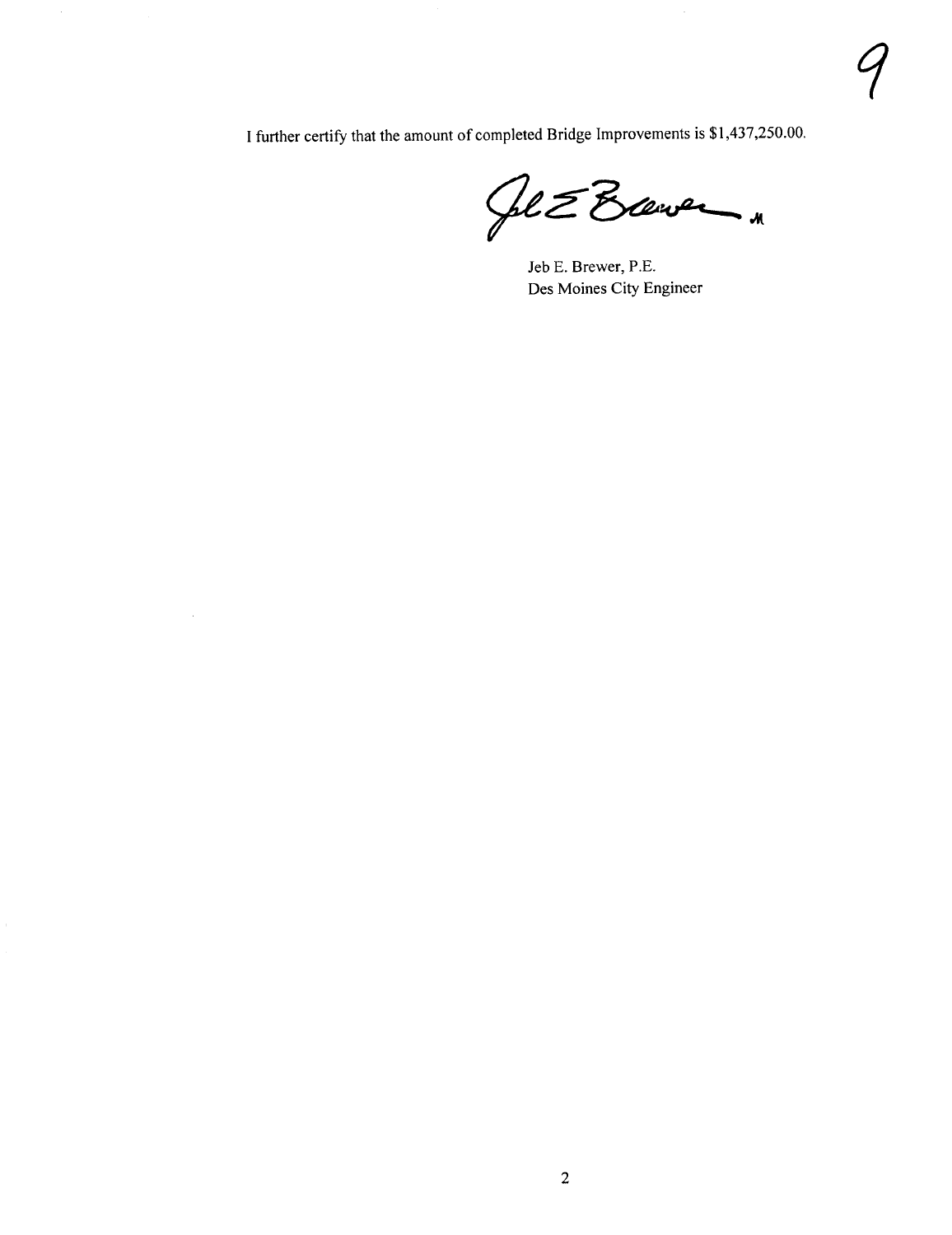I further certify that the amount of completed Bridge Improvements is \$ 1,437,250.00.

 $\sim$ 

Ge & Brever

Jeb E. Brewer, P.E. Des Moines City Engineer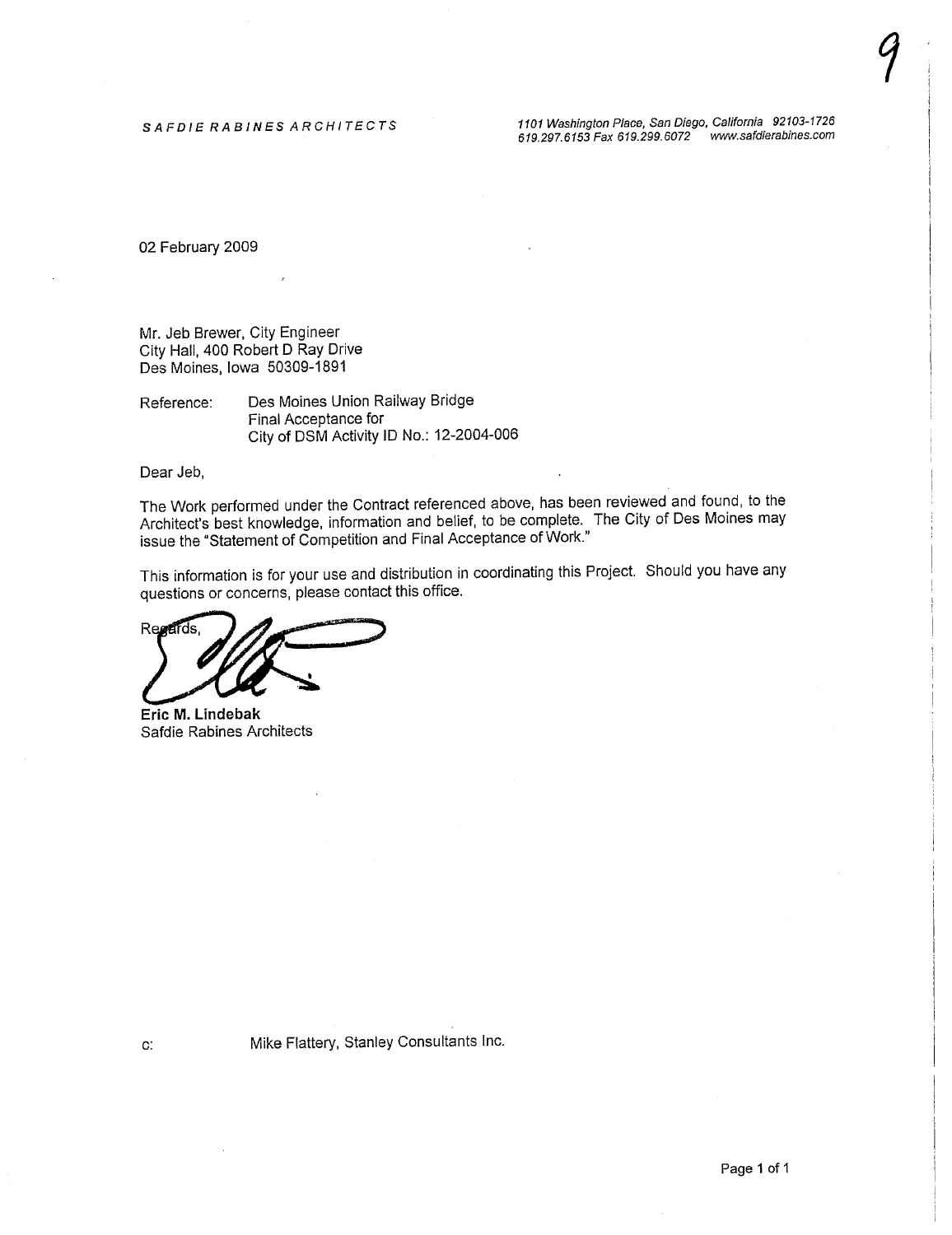$\gamma$ 

02 February 2009

Mr. Jeb Brewer, City Engineer City Hall, 400 Robert D Ray Drive Des Moines, Iowa 50309-1891

Reference: Des Moines Union Railway Bridge Final Acceptance for City of DSM Activity ID No.: 12-2004-006

Dear Jeb,

The Work performed under the Contract referenced above, has been reviewed and found, to the Architect's best knowledge, information and belief, to be complete. The City of Des Moines may issue the "Statement of Competition and Final Acceptance of Work."

This information is for your use and distribution in coordinating this Project. Should you have any questions or concerns, please contact this office.

Repertes.<br>Eric M. Lindebak

Safdie Rabines Architects

c: Mike Flattery, Stanley Consultants Inc.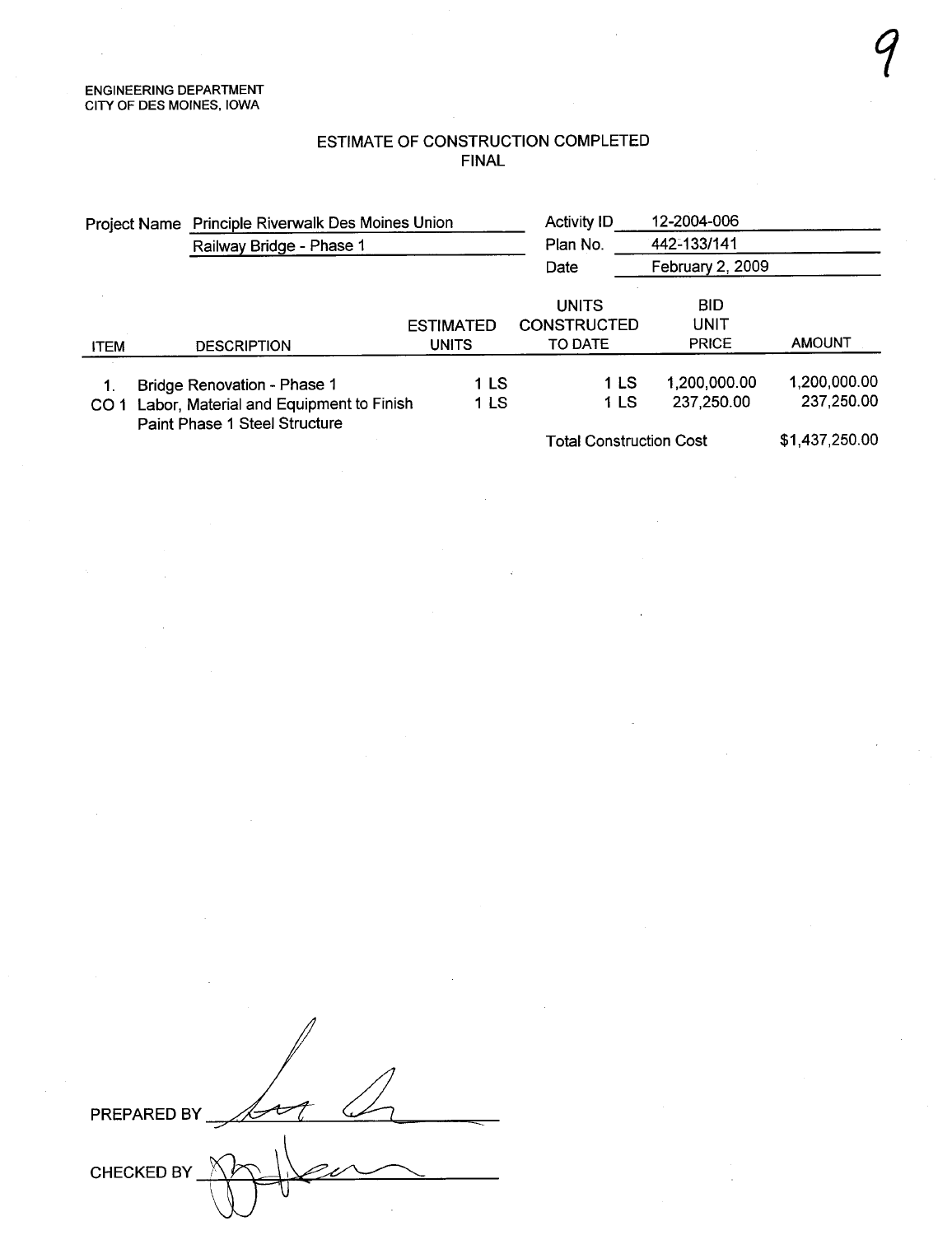### ESTIMATE OF CONSTRUCTION COMPLETED FINAL

 $\gamma$ 

| Project Name Principle Riverwalk Des Moines Union                                           |                             |                  | <b>Activity ID</b>             | 12-2004-006      |                |
|---------------------------------------------------------------------------------------------|-----------------------------|------------------|--------------------------------|------------------|----------------|
|                                                                                             | Railway Bridge - Phase 1    |                  | Plan No.                       | 442-133/141      |                |
|                                                                                             |                             |                  | Date                           | February 2, 2009 |                |
|                                                                                             |                             |                  | UNITS                          | <b>BID</b>       |                |
|                                                                                             |                             | <b>ESTIMATED</b> | <b>CONSTRUCTED</b>             | UNIT             |                |
| <b>ITEM</b>                                                                                 | <b>DESCRIPTION</b>          | <b>UNITS</b>     | TO DATE                        | <b>PRICE</b>     | <b>AMOUNT</b>  |
| $\mathbf{1}$                                                                                | Bridge Renovation - Phase 1 | 1 LS             | 1 LS                           | 1,200,000.00     | 1,200,000.00   |
| Labor, Material and Equipment to Finish<br>CO <sub>1</sub><br>Paint Phase 1 Steel Structure |                             | 1 LS             | 1 LS                           | 237,250.00       | 237,250.00     |
|                                                                                             |                             |                  | <b>Total Construction Cost</b> |                  | \$1,437,250.00 |

PREPARED BY t CHECKED BY